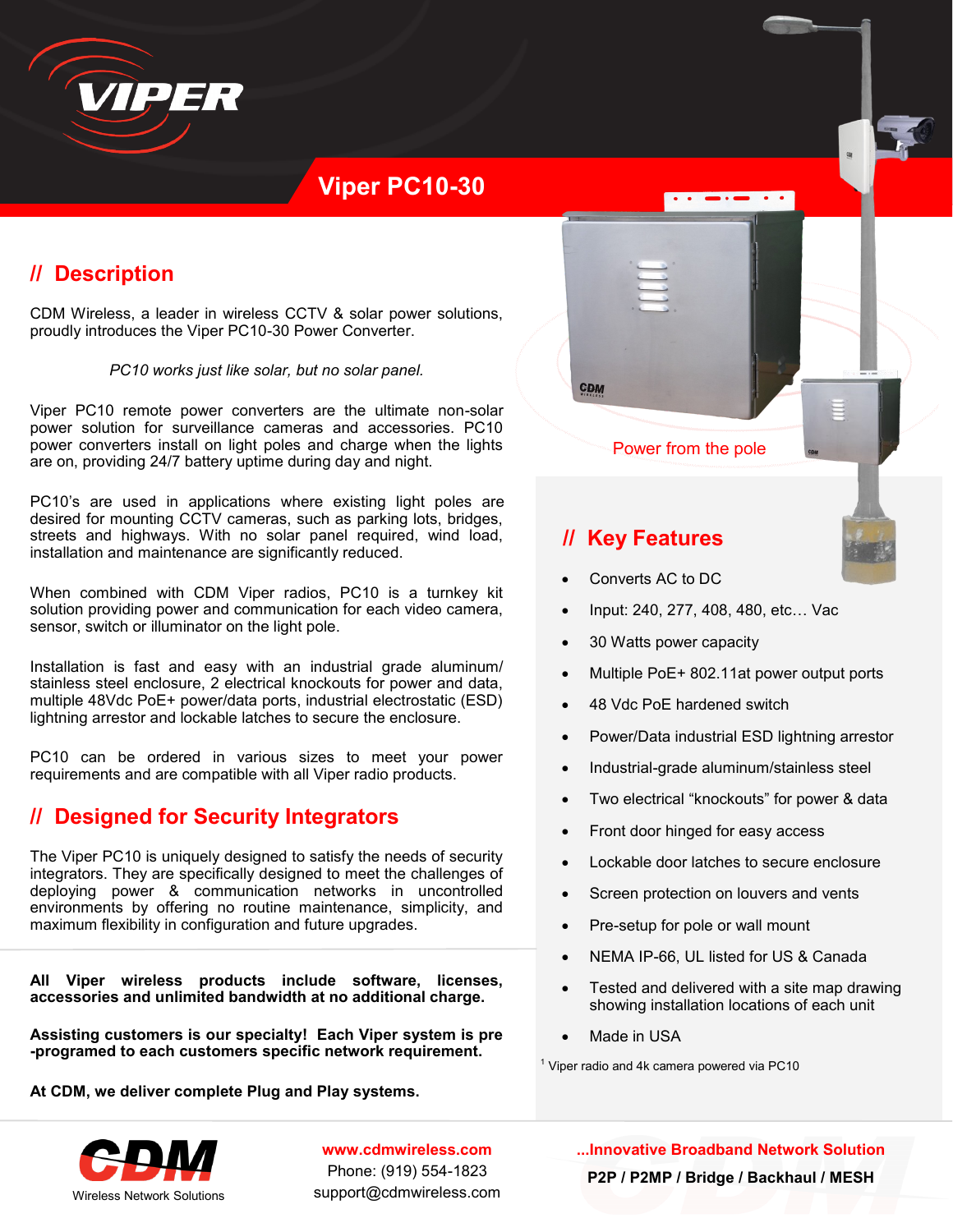

# **Viper PC10-30**

# **// Description**

CDM Wireless, a leader in wireless CCTV & solar power solutions, proudly introduces the Viper PC10-30 Power Converter.

*PC10 works just like solar, but no solar panel.* 

Viper PC10 remote power converters are the ultimate non-solar power solution for surveillance cameras and accessories. PC10 power converters install on light poles and charge when the lights are on, providing 24/7 battery uptime during day and night.

PC10's are used in applications where existing light poles are desired for mounting CCTV cameras, such as parking lots, bridges, streets and highways. With no solar panel required, wind load, installation and maintenance are significantly reduced.

When combined with CDM Viper radios, PC10 is a turnkey kit solution providing power and communication for each video camera, sensor, switch or illuminator on the light pole.

Installation is fast and easy with an industrial grade aluminum/ stainless steel enclosure, 2 electrical knockouts for power and data, multiple 48Vdc PoE+ power/data ports, industrial electrostatic (ESD) lightning arrestor and lockable latches to secure the enclosure.

PC10 can be ordered in various sizes to meet your power requirements and are compatible with all Viper radio products.

### **// Designed for Security Integrators**

The Viper PC10 is uniquely designed to satisfy the needs of security integrators. They are specifically designed to meet the challenges of deploying power & communication networks in uncontrolled environments by offering no routine maintenance, simplicity, and maximum flexibility in configuration and future upgrades.

**All Viper wireless products include software, licenses, accessories and unlimited bandwidth at no additional charge.**

**Assisting customers is our specialty! Each Viper system is pre -programed to each customers specific network requirement.** 

**At CDM, we deliver complete Plug and Play systems.**



**www.cdmwireless.com** Phone: (919) 554-1823 support@cdmwireless.com **...Innovative Broadband Network Solution P2P / P2MP / Bridge / Backhaul / MESH**



 $\overline{\cdot}$ 

## **// Key Features**

- Converts AC to DC
- Input: 240, 277, 408, 480, etc… Vac
- 30 Watts power capacity
- Multiple PoE+ 802.11at power output ports
- 48 Vdc PoE hardened switch
- Power/Data industrial ESD lightning arrestor
- Industrial-grade aluminum/stainless steel
- Two electrical "knockouts" for power & data
- Front door hinged for easy access
- Lockable door latches to secure enclosure
- Screen protection on louvers and vents
- Pre-setup for pole or wall mount
- NEMA IP-66, UL listed for US & Canada
- Tested and delivered with a site map drawing showing installation locations of each unit
- Made in USA

 $1$  Viper radio and 4k camera powered via PC10